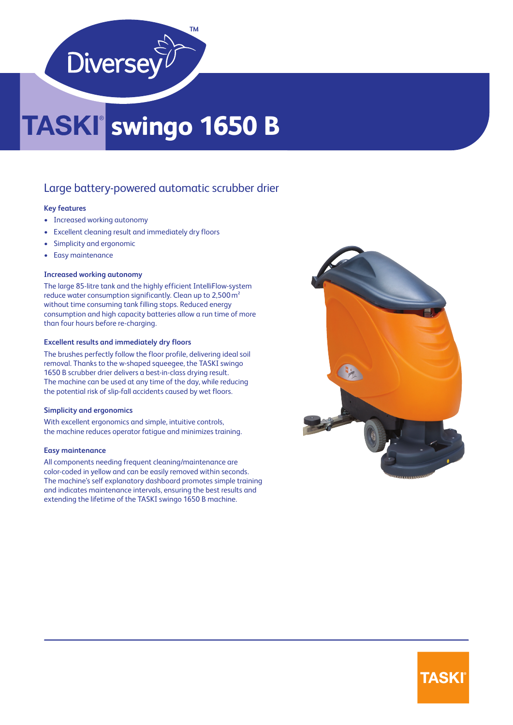

# **swingo 1650 B**

# Large battery-powered automatic scrubber drier

# **Key features**

- Increased working autonomy
- Excellent cleaning result and immediately dry floors
- Simplicity and ergonomic
- Easy maintenance

### **Increased working autonomy**

The large 85-litre tank and the highly efficient IntelliFlow-system reduce water consumption significantly. Clean up to 2,500 m² without time consuming tank filling stops. Reduced energy consumption and high capacity batteries allow a run time of more than four hours before re-charging.

#### **Excellent results and immediately dry floors**

The brushes perfectly follow the floor profile, delivering ideal soil removal. Thanks to the w-shaped squeegee, the TASKI swingo 1650 B scrubber drier delivers a best-in-class drying result. The machine can be used at any time of the day, while reducing the potential risk of slip-fall accidents caused by wet floors.

# **Simplicity and ergonomics**

With excellent ergonomics and simple, intuitive controls, the machine reduces operator fatigue and minimizes training.

#### **Easy maintenance**

All components needing frequent cleaning/maintenance are color-coded in yellow and can be easily removed within seconds. The machine's self explanatory dashboard promotes simple training and indicates maintenance intervals, ensuring the best results and extending the lifetime of the TASKI swingo 1650 B machine.